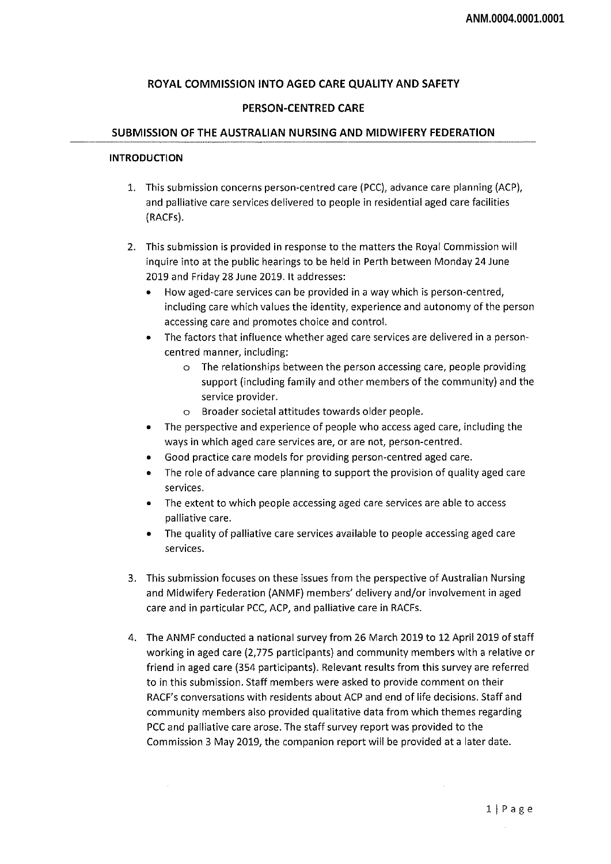# **ROYAL COMMISSION INTO AGED CARE QUALITY AND SAFETY**

# **PERSON-CENTRED CARE**

#### **SUBMISSION OF THE AUSTRALIAN NURSING AND MIDWIFERY FEDERATION**

### INTRODUCTION

- 1. This submission concerns person-centred care (PCC), advance care planning (ACF), and palliative care services delivered to people in residential aged care facilities (RACFs).
- 2. This submission is provided in response to the matters the Royal Commission will inquire into at the public hearings to be held in Perth between Monday 24 June 2019 and Friday 28 June 2019. It addresses:
	- How aged-care services can be provided in <sup>a</sup> way which is person-centred, including care which values the identity, experience and autonomy of the person accessing care and promotes choice and control.
	- The factors that influence whether aged care services are delivered in <sup>a</sup> personcentred manner, including:
		- o The relationships between the person accessing care, people providing support (including family and other members of the community) and the service provider.
		- o Broader societal attitudes towards older people.
	- The perspective and experience of people who access aged care, including the ways in which aged care services are, or are not, person-centred.
	- Good practice care models for providing person-centred aged care.
	- The role of advance care planning to support the provision of quality aged care services.
	- The extent to which people accessing aged care services are able to access palliative care.
	- The quality of palliative care services available to people accessing aged care services.
- 3. This submission focuses on these issues from the perspective of Australian Nursing and Midwifery Federation (ANMF) members' delivery and/or involvement in aged care and in particular PCC, ACP, and palliative care in RACFs.
- 4. The ANMF conducted <sup>a</sup> national survey from 26 March 2019 to 12 April 2019 of staff working in aged care (2,775 participants) and community members with a relative or friend in aged care (354 participants). Relevant results from this survey are referred to in this submission. Staff members were asked to provide comment on their RACF's conversations with residents about ACP and end of life decisions. Staff and community members also provided qualitative data from which themes regarding PCC and palliative care arose. The staff survey report was provided to the Commission 3 May 2019, the companion report will be provided at a later date.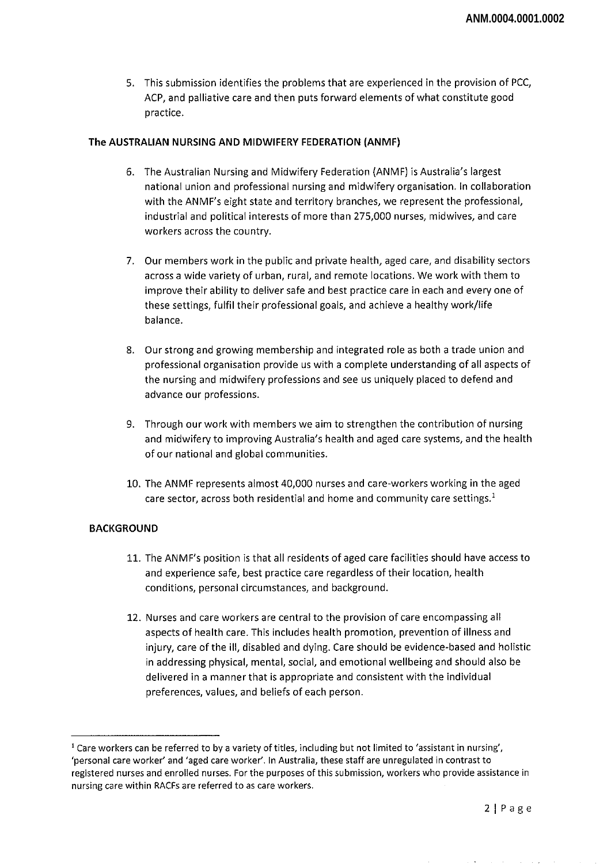5. This submission identifies the problems that are experienced in the provision of PCC, ACP, and palliative care and then puts forward elements of what constitute good practice.

### The AUSTRALIAN NURSING AND MIDWIFERY FEDERATION (ANMF)

- 6. The Australian Nursing and Midwifery Federation (ANMF) is Australia's largest national union and professional nursing and midwifery organisation, in collaboration with the ANMF's eight state and territory branches, we represent the professional, industrial and political interests of more than 275,000 nurses, midwives, and care workers across the country.
- 7. Our members work in the public and private health, aged care, and disability sectors across <sup>a</sup> wide variety of urban, rural, and remote locations. We work with them to improve their ability to deliver safe and best practice care in each and every one of these settings, fulfil their professional goals, and achieve a healthy work/life balance.
- 8. Our strong and growing membership and integrated role as both a trade union and professional organisation provide us with <sup>a</sup> complete understanding of all aspects of the nursing and midwifery professions and see us uniquely placed to defend and advance our professions.
- 9. Through our work with members we aim to strengthen the contribution of nursing and midwifery to improving Australia's health and aged care systems, and the health of our national and global communities.
- 10. The ANMF represents almost 40,000 nurses and care-workers working in the aged care sector, across both residential and home and community care settings.<sup>1</sup>

#### BACKGROUND

- 11. The ANMF's position is that all residents of aged care facilities should have access to and experience safe, best practice care regardless of their location, health conditions, personal circumstances, and background.
- 12. Nurses and care workers are central to the provision of care encompassing all aspects of health care. This includes health promotion, prevention of illness and injury, care ofthe ill, disabled and dying. Care should be evidence-based and holistic in addressing physical, mental, social, and emotional wellbeing and should also be delivered in a manner that is appropriate and consistent with the individual preferences, values, and beliefs of each person.

<sup>&</sup>lt;sup>1</sup> Care workers can be referred to by a variety of titles, including but not limited to 'assistant in nursing', 'personal care worker' and 'aged care worker'. In Australia, these staff are unregulated in contrast to registered nurses and enrolled nurses. For the purposes of this submission, workers who provide assistance in nursing care within RACFs are referred to as care workers.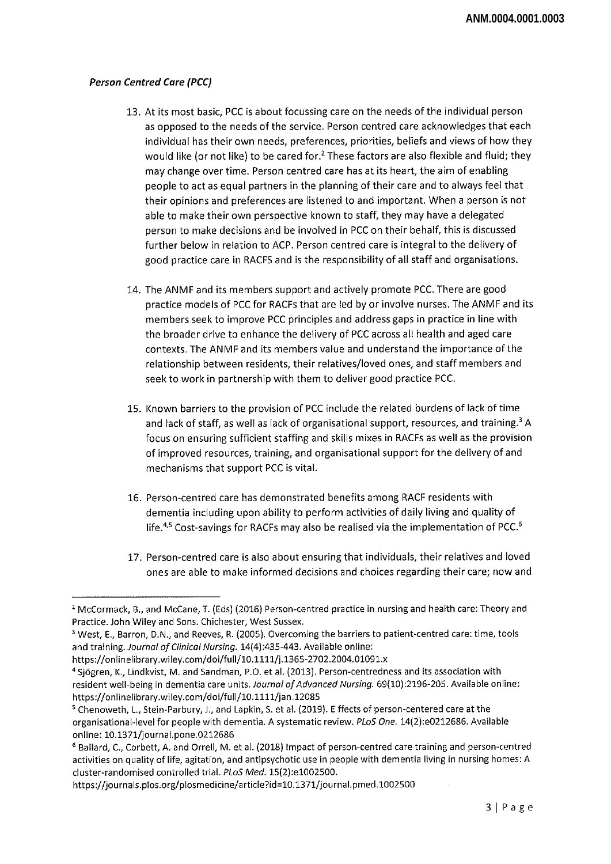# *Person Centred Care (PCC)*

- 13. At its most basic, PCC is about focussing care on the needs ofthe individual person as opposed to the needs of the service. Person centred care acknowledges that each individual has their own needs, preferences, priorities, beliefs and views of how they would like (or not like) to be cared for.<sup>2</sup> These factors are also flexible and fluid; they may change over time. Person centred care has at its heart, the aim of enabling people to act as equal partners in the planning of their care and to always feel that their opinions and preferences are listened to and important. When a person is not able to make their own perspective known to staff, they may have a delegated person to make decisions and be involved in PCC on their behalf, this is discussed further below in relation to ACP. Person centred care is integral to the delivery of good practice care in RACFS and is the responsibility of all staff and organisations.
- 14. The ANMF and its members support and actively promote PCC. There are good practice models of PCC for RACFs that are led by or involve nurses. The ANMF and its members seek to improve PCC principles and address gaps in practice in line with the broader drive to enhance the delivery of PCC across all health and aged care contexts. The ANMF and its members value and understand the importance ofthe relationship between residents, their relatives/loved ones, and staff members and seek to work in partnership with them to deliver good practice PCC.
- 15. Known barriers to the provision of PCC include the related burdens of lack oftime and lack of staff, as well as lack of organisational support, resources, and training.<sup>3</sup> A focus on ensuring sufficient staffing and skills mixes in RACFs as well as the provision of improved resources, training, and organisational support for the delivery of and mechanisms that support PCC is vital.
- 16. Person-centred care has demonstrated benefits among RACF residents with dementia including upon ability to perform activities of daily living and quality of life.<sup>4,5</sup> Cost-savings for RACFs may also be realised via the implementation of PCC.<sup>6</sup>
- 17. Person-centred care is also about ensuring that individuals, their relatives and loved ones are able to make informed decisions and choices regarding their care; now and

https://onlinelibrary.wiley.com/doi/full/10.1111/j.1365-2702.2004.01091.x

https://journals.plos.org/plosmedicine/article?id=10.1371/journal.pmed.1002500

<sup>2</sup> McCormack, B., and McCane, T. (Eds) (2016) Person-centred practice in nursing and health care: Theory and Practice. John Wiley and Sons. Chichester, West Sussex.

<sup>3</sup> West, E., Barron, D.N., and Reeves, R. (2005). Overcoming the barriers to patient-centred care: time, tools and *training. Journal of Clinical Nursing*. 14(4):435-443. Available online:

<sup>4</sup> Sjogren, K., Lindkvist, M. and Sandman, P.O. et al. (2013). Person-centredness and its association with resident well-being in dementia care units. *Journal of Advanced Nursing.* 69(10):2196-205. Available online: https://onlinelibrary.wiley.com/doi/full/10.1111/jan.12085

<sup>5</sup> Chenoweth, L, Stein-Parbury, J., and Lapkin, S. et al. (2019). <sup>E</sup> ffects of person-centered care at the organisational-level for people with dementia. A systematic review. *PLoS One.* 14(2):e0212686. Available online: 10.1371/journal.pone.0212686

<sup>6</sup> Ballard, C, Corbett, A. and Orrell, M. et al. (2018) Impact of person-centred care training and person-centred activities on quality of life, agitation, and antipsychotic use in people with dementia living in nursing homes: A cluster-randomised controlled trial. *PLoS Med.* 15(2):el002500.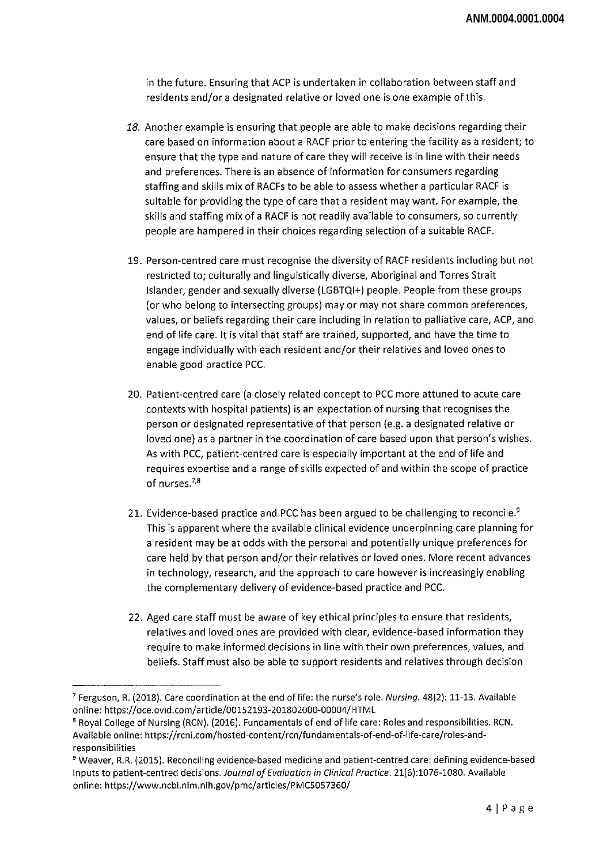in the future. Ensuring that ACP is undertaken in collaboration between staff and residents and/or a designated relative or loved one is one example of this.

- *18.* Another example is ensuring that people are able to make decisions regarding their care based on information about a RACE prior to entering the facility as a resident; to ensure that the type and nature of care they will receive is in line with their needs and preferences. There is an absence of information for consumers regarding staffing and skills mix of RACFs to be able to assess whether a particular RACE is suitable for providing the type of care that <sup>a</sup> resident may want. For example, the skills and staffing mix of a RACE is not readily available to consumers, so currently people are hampered in their choices regarding selection of a suitable RACE.
- 19. Person-centred care must recognise the diversity of RACE residents including but not restricted to; culturally and linguistically diverse, Aboriginal and Torres Strait Islander, gender and sexually diverse (LGBTQI+) people. People from these groups (or who belong to intersecting groups) may or may not share common preferences, values, or beliefs regarding their care including in relation to palliative care, ACP, and end of life care. It is vital that staff are trained, supported, and have the time to engage individually with each resident and/or their relatives and loved ones to enable good practice PCC.
- 20. Patient-centred care (a closely related concept to PCC more attuned to acute care contexts with hospital patients) is an expectation of nursing that recognises the person or designated representative of that person (e.g. a designated relative or loved one) as <sup>a</sup> partner in the coordination of care based upon that person's wishes. As with PCC, patient-centred care is especially important at the end of life and requires expertise and <sup>a</sup> range of skills expected of and within the scope of practice of nurses.<sup>7,8</sup>
- 21. Evidence-based practice and PCC has been argued to be challenging to reconcile.<sup>9</sup> This is apparent where the available clinical evidence underpinning care planning for a resident may be at odds with the personal and potentially unique preferences for care held by that person and/or their relatives or loved ones. More recent advances in technology, research, and the approach to care however is increasingly enabling the complementary delivery of evidence-based practice and PCC.
- 22. Aged care staff must be aware of key ethical principles to ensure that residents, relatives and loved ones are provided with clear, evidence-based information they require to make informed decisions in line with their own preferences, values, and beliefs. Staff must also be able to support residents and relatives through decision

<sup>7</sup> Ferguson, R. (2018). Care coordination at the end of life: the nurse's role. *Nursing.* 48(2): 11-13. Available online: https://oce.ovid.com/article/00152193-201802000-00004/HTML

<sup>8</sup> Royal College of Nursing (RCN). (2016). Fundamentals of end of life care: Roles and responsibilities. RCN. Available online: https://rcni.com/hosted-content/rcn/fundamentals-of-end-of-life-care/roles-andresponsibilities

<sup>9</sup> Weaver, R.R. (2015). Reconciling evidence-based medicine and patient-centred care: defining evidence-based inputs to patient-centred decisions. *Journal of Evaluation in Clinical Practice*. 21(6):1076-1080. Available online: https://www.ncbi.nlm.nih.gov/pmc/articles/PMC5057360/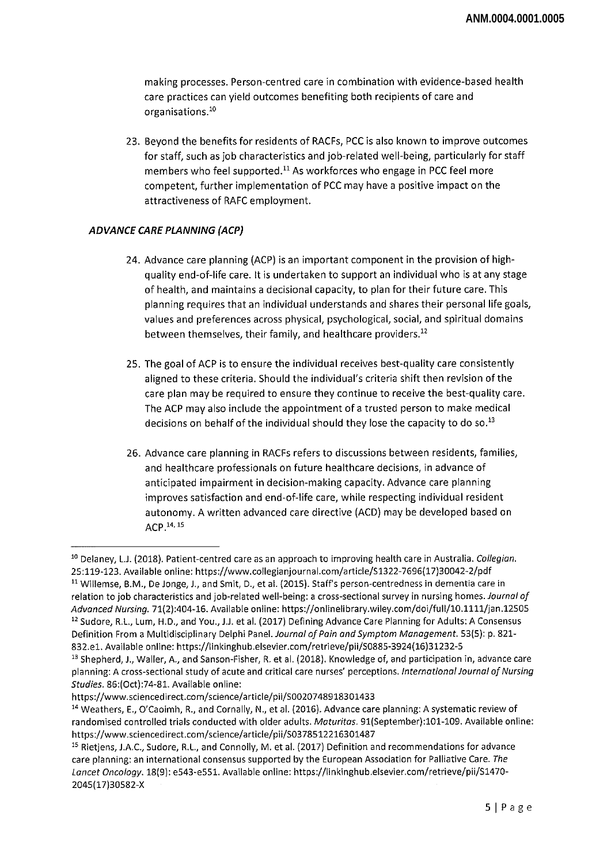making processes. Person-centred care in combination with evidence-based health care practices can yield outcomes benefiting both recipients of care and organisations.10

23. Beyond the benefits for residents of RACFs, PCC is also known to improve outcomes for staff, such as job characteristics and job-related well-being, particularly for staff members who feel supported.<sup>11</sup> As workforces who engage in PCC feel more competent, further implementation of PCC may have <sup>a</sup> positive impact on the attractiveness of RAFC employment.

# *ADVANCE CARE PLANNING (ACP)*

- 24. Advance care planning (ACP) is an important component in the provision of highquality end-of-life care. It is undertaken to support an individual who is at any stage of health, and maintains <sup>a</sup> decisional capacity, to plan for their future care. This planning requires that an individual understands and shares their personal life goals, values and preferences across physical, psychological, social, and spiritual domains between themselves, their family, and healthcare providers.<sup>12</sup>
- 25. The goal of ACP is to ensure the individual receives best-quality care consistently aligned to these criteria. Should the individual's criteria shift then revision of the care plan may be required to ensure they continue to receive the best-quality care. The ACP may also include the appointment of a trusted person to make medical decisions on behalf of the individual should they lose the capacity to do so.<sup>13</sup>
- 26. Advance care planning in RACFs refers to discussions between residents, families, and healthcare professionals on future healthcare decisions, in advance of anticipated impairment in decision-making capacity. Advance care planning improves satisfaction and end-of-life care, while respecting individual resident autonomy. A written advanced care directive (ACD) may be developed based on ACP.14'15

<sup>10</sup> Delaney, L.J. (2018). Patient-centred care as an approach to improving health care in Australia. *Collegian.* 25:119-123. Available online: https://www.collegianjournal.com/article/S1322-7696(17)30042-2/pdf <sup>11</sup> Willemse, B.M., De Jonge, J., and Smit, D., et al. (2015). Staff's person-centredness in dementia care in

relation to job characteristics and job-related well-being: a cross-sectional survey in nursing homes. *Journal of Advanced Nursing.* 71(2):404-16. Available online: https://onlinelibrary.wiley.com/doi/full/10.llll/jan.12505 <sup>12</sup> Sudore, R.L, Lum, H.D., and You., J.J. et al. (2017) Defining Advance Care Planning for Adults: A Consensus Definition From <sup>a</sup> Multidisciplinary Delphi *Par\e\. Journal ofPain and Symptom Management.* 53(5): p. 821- 832.el. Available online: https://linkinghub.elsevier.com/retrieve/pii/S0885-3924(16)31232-5

<sup>&</sup>lt;sup>13</sup> Shepherd, J., Waller, A., and Sanson-Fisher, R. et al. (2018). Knowledge of, and participation in, advance care planning: A cross-sectional study of acute and critical care nurses' perceptions. *International Journal of Nursing Studies.* 86:(Oct):74-81. Available online:

https://www.sciencedirect.com/science/article/pii/S0020748918301433

<sup>14</sup> Weathers, E., O'Caoimh, R., and Cornally, N., et al. (2016). Advance care planning: A systematic review of randomised controlled trials conducted with older adults. *Maturitas.* 91(September):101-109. Available online: https://www.sciencedirect.com/science/article/pii/S0378512216301487

<sup>15</sup> Rietjens, J.A.C., Sudore, R.L, and Connolly, M. et al. (2017) Definition and recommendations for advance care planning: an international consensus supported by the European Association for Palliative Care. *The Lancet Oncology.* 18(9): e543-e551. Available online: https://linkinghub.elsevier.com/retrieve/pii/S1470- 2045(17)30582-X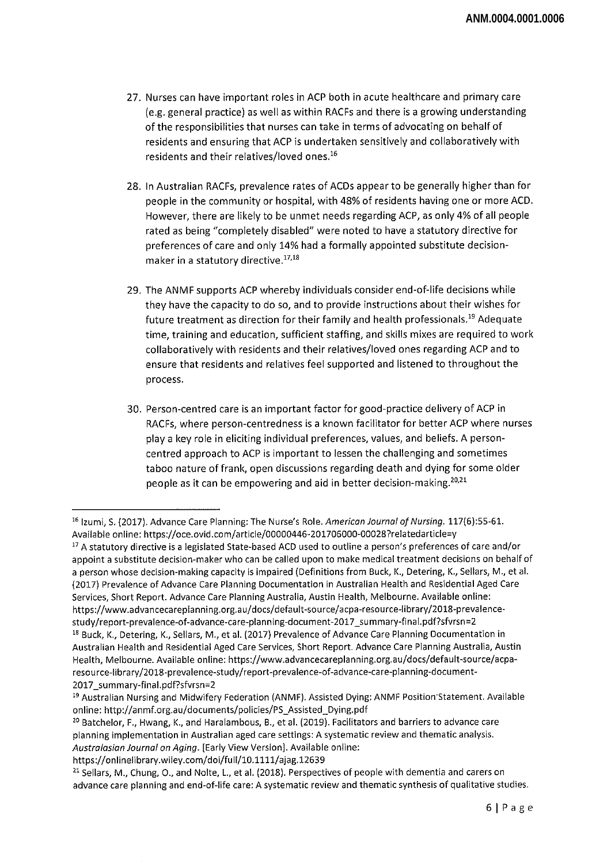- 27. Nurses can have important roles in ACP both in acute healthcare and primary care (e.g. general practice) as well as within RACFs and there is a growing understanding of the responsibilities that nurses can take in terms of advocating on behalf of residents and ensuring that ACP is undertaken sensitively and collaboratively with residents and their relatives/loved ones.<sup>16</sup>
- 28. In Australian RACFs, prevalence rates of ACDs appear to be generally higher than for people in the community or hospital, with 48% of residents having one or more ACD. However, there are likely to be unmet needs regarding ACP, as only 4% of all people rated as being "completely disabled" were noted to have a statutory directive for preferences of care and only 14% had <sup>a</sup> formally appointed substitute decisionmaker in a statutory directive.17,18
- 29. The ANMF supports ACP whereby individuals consider end-of-life decisions while they have the capacity to do so, and to provide instructions about their wishes for future treatment as direction for their family and health professionals.<sup>19</sup> Adequate time, training and education, sufficient staffing, and skills mixes are required to work collaboratively with residents and their relatives/loved ones regarding ACP and to ensure that residents and relatives feel supported and listened to throughout the process.
- 30. Person-centred care is an important factor for good-practice delivery of ACP in RACFs, where person-centredness is a known facilitator for better ACP where nurses play a key role in eliciting individual preferences, values, and beliefs. A personcentred approach to ACP is important to lessen the challenging and sometimes taboo nature of frank, open discussions regarding death and dying for some older people as it can be empowering and aid in better decision-making.<sup>20,21</sup>

<sup>&</sup>lt;sup>16</sup> Izumi, S. (2017). Advance Care Planning: The Nurse's Role. *American Journal of Nursing*. 117(6):55-61. Available online: https://oce.ovid.com/article/00000446-201706000-00028?relatedarticle=y

<sup>&</sup>lt;sup>17</sup> A statutory directive is a legislated State-based ACD used to outline a person's preferences of care and/or appoint a substitute decision-maker who can be called upon to make medical treatment decisions on behalf of a person whose decision-making capacity is impaired (Definitions from Buck, K., Detering, K., Sellars, M., et al. (2017) Prevalence of Advance Care Planning Documentation in Australian Health and Residential Aged Care Services, Short Report. Advance Care Planning Australia, Austin Health, Melbourne. Available online: https://www.advancecareplanning.org.au/docs/default-source/acpa-resource-library/2018-prevalencestudy/report-prevalence-of-advance-care-planning-document-2017\_summary-final.pdf?sfvrsn=2 <sup>18</sup> Buck, K., Detering, K., Sellars, M., et al. (2017) Prevalence of Advance Care Planning Documentation in Australian Health and Residential Aged Care Services, Short Report. Advance Care Planning Australia, Austin Health, Melbourne. Available online: https://www.advancecareplanning.org.au/docs/default-source/acparesource-library/2018-prevalence-study/report-prevalence-of-advance-care-planning-document-2017\_summary-fina!.pdf?sfvrsn=2

<sup>19</sup> Australian Nursing and Midwifery Federation (ANMF). Assisted Dying: ANMF Position'Statement. Available online: http://anmf.org.au/documents/policies/PS\_Assisted\_Dying.pdf

<sup>&</sup>lt;sup>20</sup> Batchelor, F., Hwang, K., and Haralambous, B., et al. (2019). Facilitators and barriers to advance care planning implementation in Australian aged care settings: A systematic review and thematic analysis. *Australasian Journal on Aging.* [Early View Version]. Available online:

https://onlinelibrary.wiley.com/doi/full/10.1111/ajag.12639

<sup>&</sup>lt;sup>21</sup> Sellars, M., Chung, O., and Nolte, L., et al. (2018). Perspectives of people with dementia and carers on advance care planning and end-of-life care: A systematic review and thematic synthesis of qualitative studies.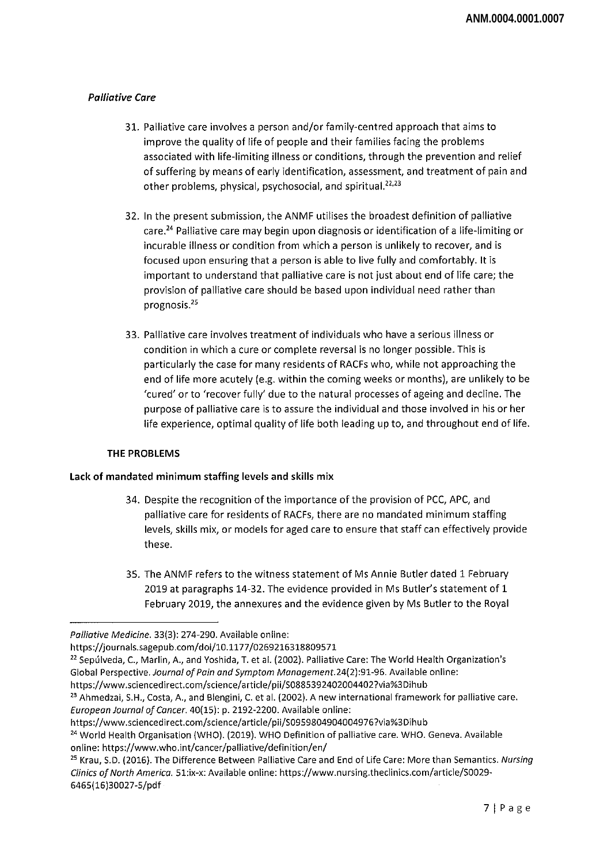# *Palliative Care*

- 31. Palliative care involves a person and/or family-centred approach that aims to improve the quality of life of people and their families facing the problems associated with life-limiting illness or conditions, through the prevention and relief of suffering by means of early identification, assessment, and treatment of pain and other problems, physical, psychosocial, and spiritual.<sup>22,23</sup>
- 32. In the present submission, the ANMF utilises the broadest definition of palliative care.<sup>24</sup> Palliative care may begin upon diagnosis or identification of a life-limiting or incurable illness or condition from which a person is unlikely to recover, and is focused upon ensuring that a person is able to live fully and comfortably. It is important to understand that palliative care is not just about end of life care; the provision of palliative care should be based upon individual need rather than prognosis.25
- 33. Palliative care involves treatment of individuals who have a serious illness or condition in which a cure or complete reversal is no longer possible. This is particularly the case for many residents of RACFs who, while not approaching the end of life more acutely (e.g. within the coming weeks or months), are unlikely to be 'cured' or to 'recover fully' due to the natural processes of ageing and decline. The purpose of palliative care is to assure the individual and those involved in his or her life experience, optimal quality of life both leading up to, and throughout end of life.

# **THE PROBLEMS**

# **Lack of mandated minimum staffing levels and skills mix**

- 34. Despite the recognition of the importance of the provision of PCC, APC, and palliative care for residents of RACFs, there are no mandated minimum staffing levels, skills mix, or models for aged care to ensure that staff can effectively provide these.
- 35. The ANMF refers to the witness statement of Ms Annie Butler dated <sup>1</sup> February 2019 at paragraphs 14-32. The evidence provided in Ms Butler's statement of <sup>1</sup> February 2019, the annexures and the evidence given by Ms Butler to the Royal

https://www.sciencedirect.com/science/article/pii/S08853924020044027via%3Dihub

https://www.sciencedirect.com/science/article/pii/S09598049040049767via%3Dihub

*Palliative Medicine.* 33(3): 274-290. Available online:

https://journals.sagepub.com/doi/10.1177/0269216318809571

<sup>&</sup>lt;sup>22</sup> Sepúlveda, C., Marlin, A., and Yoshida, T. et al. (2002). Palliative Care: The World Health Organization's Global Perspective. Journal of Pain and Symptom Management.24(2):91-96. Available online:

<sup>&</sup>lt;sup>23</sup> Ahmedzai, S.H., Costa, A., and Blengini, C. et al. (2002). A new international framework for palliative care. *European Journal of Cancer.* 40(15): p. 2192-2200. Available online:

<sup>&</sup>lt;sup>24</sup> World Health Organisation (WHO). (2019). WHO Definition of palliative care. WHO. Geneva. Available online: https://www.who.int/cancer/palliative/definition/en/

<sup>25</sup> Krau, S.D. (2016). The Difference Between Palliative Care and End of Life Care: More than Semantics. *Nursing Clinics ofNorth America.* 51:ix-x: Available online: https://www.nursing.theclinics.com/article/S0029- 6465(16)30027-5/pdf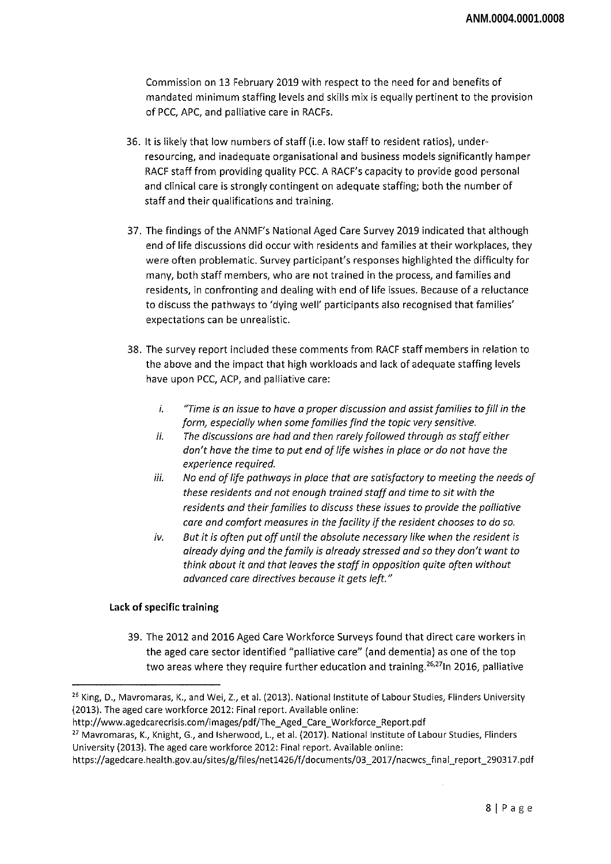Commission on 13 February 2019 with respect to the need for and benefits of mandated minimum staffing levels and skills mix is equally pertinent to the provision of PCC, APC, and palliative care in RACFs.

- 36. It is likely that low numbers of staff (i.e. low staffto resident ratios), underresourcing, and inadequate organisational and business models significantly hamper RACF staff from providing quality PCC. A RACF's capacity to provide good personal and clinical care is strongly contingent on adequate staffing; both the number of staff and their qualifications and training.
- 37. The findings ofthe ANMF's National Aged Care Survey 2019 indicated that although end of life discussions did occur with residents and families at their workplaces, they were often problematic. Survey participant's responses highlighted the difficulty for many, both staff members, who are not trained in the process, and families and residents, in confronting and dealing with end of life issues. Because of a reluctance to discuss the pathways to 'dying well' participants also recognised that families' expectations can be unrealistic.
- 38. The survey report included these comments from RACF staff members in relation to the above and the impact that high workloads and lack of adequate staffing levels have upon PCC, ACP, and palliative care:
	- /. *"Time is an issue to have a proper discussion and assistfamilies tofill in the form, especially when some familiesfind the topic very sensitive,*
	- *ii. The discussions are had and then rarelyfollowed through as staffeither don't have the time to put end oflife wishes in place or do not have the experience required.*
	- *Hi. No end oflife pathways in place that are satisfactory to meeting the needs of these residents and not enough trained staffand time to sit with the residents and theirfamilies to discuss these issues to provide the palliative care and comfort measures in the facility ifthe resident chooses to do so.*
	- *iv. But it is often put off until the absolute necessary like when the resident is already dying and the family is already stressed and so they don't want to think about it and that leaves the staffin opposition quite often without advanced care directives because it gets left."*

# **Lack of specific training**

39. The 2012 and 2016 Aged Care Workforce Surveys found that direct care workers in the aged care sector identified "palliative care" (and dementia) as one ofthe top two areas where they require further education and training.<sup>26,27</sup>ln 2016, palliative

http://www.agedcarecrisis.com/images/pdf/The\_Aged\_Care\_Workforce\_Report.pdf

<sup>27</sup> Mavromaras, K., Knight, G., and Isherwood, L., et al. (2017). National Institute of Labour Studies, Flinders University (2013). The aged care workforce 2012: Final report. Available online:

<sup>&</sup>lt;sup>26</sup> King, D., Mavromaras, K., and Wei, Z., et al. (2013). National Institute of Labour Studies, Flinders University (2013). The aged care workforce 2012: Final report. Available online:

https://agedcare.health.gov.aU/sites/g/files/netl426/f/documents/03\_2017/nacwcs\_final\_report\_290317.pdf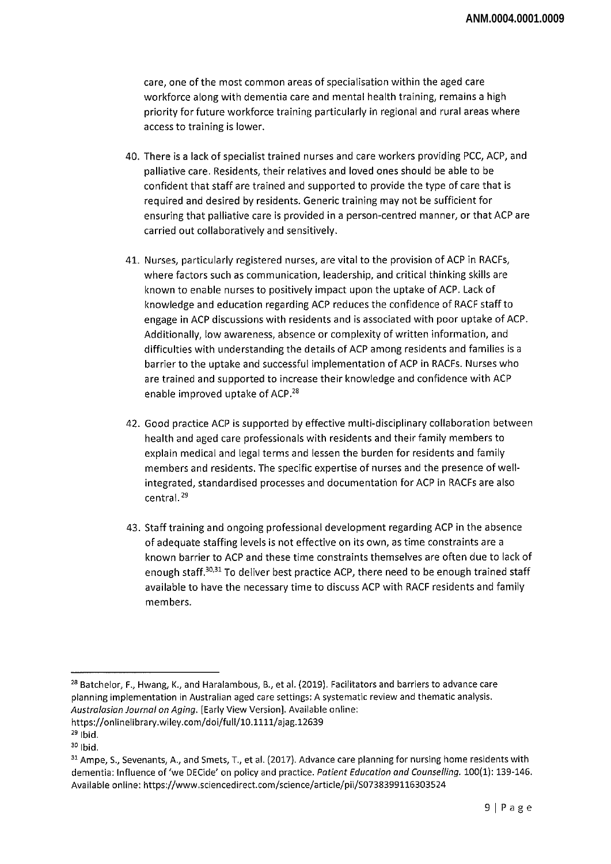care, one of the most common areas of specialisation within the aged care workforce along with dementia care and mental health training, remains a high priority for future workforce training particularly in regional and rural areas where access to training is lower.

- 40. There is a lack of specialist trained nurses and care workers providing PCC, ACP, and palliative care. Residents, their relatives and loved ones should be able to be confident that staff are trained and supported to provide the type of care that is required and desired by residents. Generic training may not be sufficient for ensuring that palliative care is provided in a person-centred manner, or that ACP are carried out collaboratively and sensitively.
- 41. Nurses, particularly registered nurses, are vital to the provision of ACP in RACFs, where factors such as communication, leadership, and critical thinking skills are known to enable nurses to positively impact upon the uptake of ACP. Lack of knowledge and education regarding ACP reduces the confidence of RACF staffto engage in ACP discussions with residents and is associated with poor uptake of ACP. Additionally, low awareness, absence or complexity of written information, and difficulties with understanding the details of ACP among residents and families is <sup>a</sup> barrier to the uptake and successful implementation of ACP in RACFs. Nurses who are trained and supported to increase their knowledge and confidence with ACP enable improved uptake of ACP.<sup>28</sup>
- 42. Good practice ACP is supported by effective multi-disciplinary collaboration between health and aged care professionals with residents and their family members to explain medical and legal terms and lessen the burden for residents and family members and residents. The specific expertise of nurses and the presence of wellintegrated, standardised processes and documentation for ACP in RACFs are also central.<sup>29</sup>
- 43. Stafftraining and ongoing professional development regarding ACP in the absence of adequate staffing levels is not effective on its own, as time constraints are <sup>a</sup> known barrier to ACP and these time constraints themselves are often due to lack of enough staff.<sup>30,31</sup> To deliver best practice ACP, there need to be enough trained staff available to have the necessary time to discuss ACP with RACF residents and family members.

<sup>&</sup>lt;sup>28</sup> Batchelor, F., Hwang, K., and Haralambous, B., et al. (2019). Facilitators and barriers to advance care planning implementation in Australian aged care settings: A systematic review and thematic analysis. *Australasian Journal on Aging.* [Early View Version]. Available online: https://onlinelibrary.wiley.com/doi/full/10.1111/ajag.12639

 $29$  Ibid.  $30$  Ibid.

<sup>&</sup>lt;sup>31</sup> Ampe, S., Sevenants, A., and Smets, T., et al. (2017). Advance care planning for nursing home residents with dementia: Influence of'we DECide' on policy and practice. *Patient Education and Counselling.* 100(1): 139-146. Available online: https://www.sciencedirect.com/science/article/pii/S0738399116303524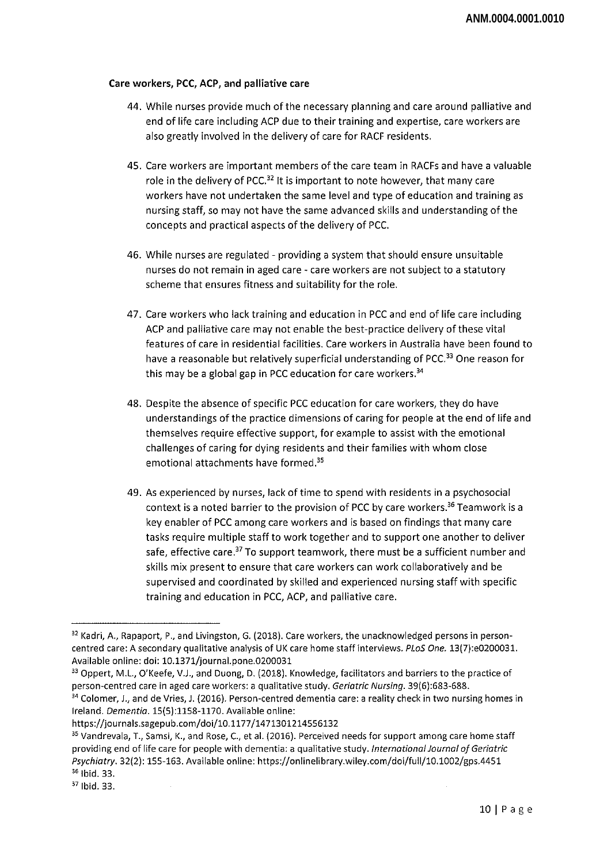### **Care workers, PCC, ACP, and palliative care**

- 44. While nurses provide much ofthe necessary planning and care around palliative and end of life care including ACP due to their training and expertise, care workers are also greatly involved in the delivery of care for RACF residents.
- 45. Care workers are important members ofthe care team in RACFs and have <sup>a</sup> valuable role in the delivery of PCC.<sup>32</sup> It is important to note however, that many care workers have not undertaken the same level and type of education and training as nursing staff, so may not have the same advanced skills and understanding of the concepts and practical aspects of the delivery of PCC.
- 46. While nurses are regulated providing a system that should ensure unsuitable nurses do not remain in aged care - care workers are not subject to a statutory scheme that ensures fitness and suitability for the role.
- 47. Care workers who lack training and education in PCC and end of life care including ACP and palliative care may not enable the best-practice delivery of these vital features of care in residential facilities. Care workers in Australia have been found to have a reasonable but relatively superficial understanding of PCC.<sup>33</sup> One reason for this may be a global gap in PCC education for care workers. $34$
- 48. Despite the absence of specific PCC education for care workers, they do have understandings ofthe practice dimensions of caring for people at the end of life and themselves require effective support, for example to assist with the emotional challenges of caring for dying residents and their families with whom close emotional attachments have formed.35
- 49. As experienced by nurses, lack of time to spend with residents in a psychosocial context is a noted barrier to the provision of PCC by care workers.<sup>36</sup> Teamwork is a key enabler of PCC among care workers and is based on findings that many care tasks require multiple staff to work together and to support one another to deliver safe, effective care.<sup>37</sup> To support teamwork, there must be a sufficient number and skills mix present to ensure that care workers can work collaboratively and be supervised and coordinated by skilled and experienced nursing staff with specific training and education in PCC, ACP, and palliative care.

<sup>33</sup> Oppert, M.L., O'Keefe, V.J., and Duong, D. (2018). Knowledge, facilitators and barriers to the practice of person-centred care in aged care workers: a qualitative study. *Geriatric Nursing.* 39(6):683-688.

<sup>32</sup> Kadri, A., Rapaport, P., and Livingston, G. (2018). Care workers, the unacknowledged persons in personcentred care: A secondary qualitative analysis of UK care home staff interviews. *PLoS One.* 13(7):e0200031. Available online: doi: 10.1371/journal.pone.0200031

<sup>&</sup>lt;sup>34</sup> Colomer, J., and de Vries, J. (2016). Person-centred dementia care: a reality check in two nursing homes in Ireland. *Dementia.* 15(5):1158-1170. Available online:

https://journals.sagepub.com/doi/10.1177/1471301214556132

<sup>35</sup> Vandrevala, T., Samsi, K., and Rose, C, et al. (2016). Perceived needs for support among care home staff providing end of life care for people with dementia: <sup>a</sup> qualitative study. *InternationalJournal ofGeriatric Psychiatry.* 32(2): 155-163. Available online: https://onlinelibrary.wiley.com/doi/full/10.1002/gps.4451 <sup>36</sup> Ibid. 33.

<sup>37</sup> Ibid. 33.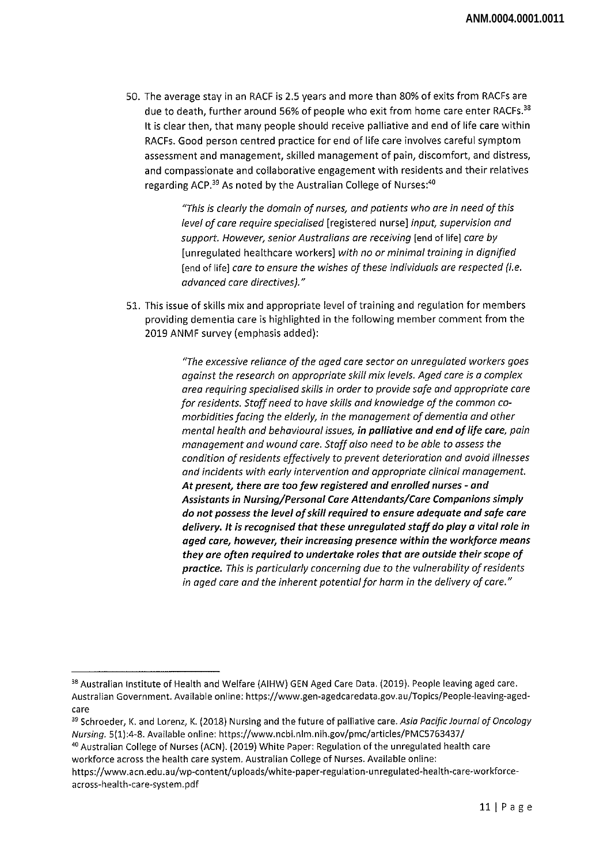50. The average stay in an RACF is 2.5 years and more than 80% of exits from RACFs are due to death, further around 56% of people who exit from home care enter RACFs.<sup>38</sup> It is clear then, that many people should receive palliative and end of life care within RACFs. Good person centred practice for end of life care involves careful symptom assessment and management, skilled management of pain, discomfort, and distress, and compassionate and collaborative engagement with residents and their relatives regarding ACP.<sup>39</sup> As noted by the Australian College of Nurses:<sup>40</sup>

> *"This is clearly the domain of nurses, and patients who are in need of this level of care require specialised* [registered nurse] *input, supervision and support. However, seniorAustralians are receiving* [end of life] *care by* [unregulated healthcare workers] *with no or minimal training in dignified* [end of life] *care to ensure the wishes of these individuals are respected (i.e. advanced care directives)."*

51. This issue of skills mix and appropriate level oftraining and regulation for members providing dementia care is highlighted in the following member comment from the 2019 ANMF survey (emphasis added):

> *"The excessive reliance of the aged care sector on unregulated workers goes against the research on appropriate skill mix levels. Aged care is a complex area requiring specialised skills in order to provide safe and appropriate care for residents. Staffneed to have skills and knowledge of the common comorbidities facing the elderly, in the management ofdementia and other mental health and behavioural issues, in palliative and end oflife care, pain management and wound care. Staff also need to be able to assess the condition ofresidents effectively to prevent deterioration and avoid illnesses and incidents with early intervention and appropriate clinical management. At present, there are toofew registered and enrolled nurses - and Assistants in Nursing/Personal Care Attendants/Care Companions simply do not possess the level ofskill required to ensure adequate and safe care delivery. It is recognised that these unregulated staffdo playa vital role in aged care, however, their increasing presence within the workforce means they are often required to undertake roles that are outside their scope of practice. This is particularly concerning due to the vulnerability ofresidents in aged care and the inherent potentialfor harm in the delivery of care."*

<sup>&</sup>lt;sup>38</sup> Australian Institute of Health and Welfare (AIHW) GEN Aged Care Data. (2019). People leaving aged care. Australian Government. Available online: https://www.gen-agedcaredata.gov.au/Topics/People-leaving-agedcare

<sup>39</sup> Schroeder, K. and Lorenz, K. (2018) Nursing and the future of palliative *care. Asia Pacific Journal ofOncology Nursing.* 5(l):4-8. Available online: https://www.ncbi.nlm.nih.gov/pmc/articles/PMC5763437/

<sup>40</sup> Australian College of Nurses (ACN). (2019) White Paper: Regulation of the unregulated health care workforce across the health care system. Australian College of Nurses. Available online:

https://www.acn.edu.au/wp-content/uploads/white-paper-regulation-unregulated-health-care-workforceacross-health-care-system.pdf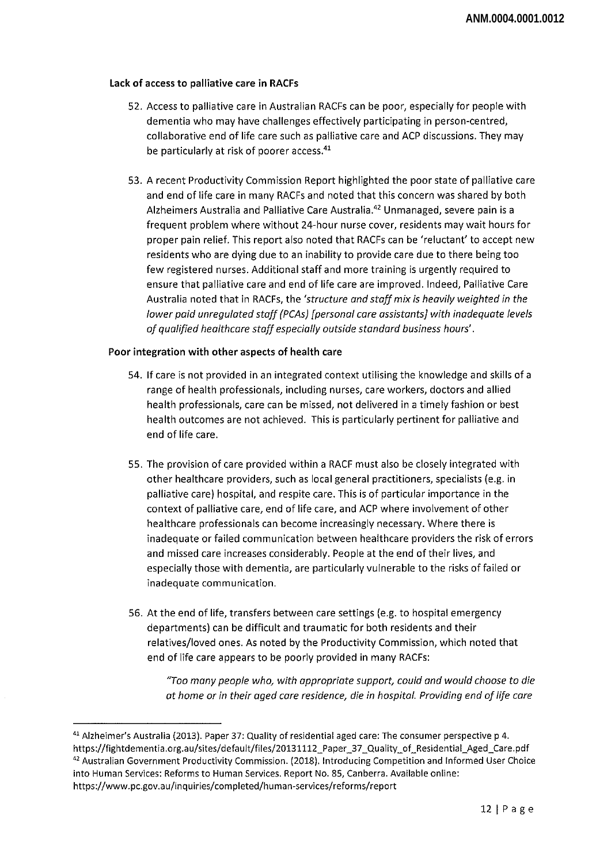### Lack of access to palliative care in RACFs

- 52. Access to palliative care in Australian RACFs can be poor, especially for people with dementia who may have challenges effectively participating in person-centred, collaborative end of life care such as palliative care and ACP discussions. They may be particularly at risk of poorer access.<sup>41</sup>
- 53. A recent Productivity Commission Report highlighted the poor state of palliative care and end of life care in many RACFs and noted that this concern was shared by both Alzheimers Australia and Palliative Care Australia.<sup>42</sup> Unmanaged, severe pain is a frequent problem where without 24-hour nurse cover, residents may wait hours for proper pain relief. This report also noted that RACFs can be 'reluctant' to accept new residents who are dying due to an inability to provide care due to there being too few registered nurses. Additional staff and more training is urgently required to ensure that palliative care and end of life care are improved. Indeed, Palliative Care Australia noted that in RACFs, the *'structure and staffmix is heavily weighted in the lower paid unregulated staff (PCAs) [personal care assistants] with inadequate levels of qualified healthcare staff especially outside standard business hours'.*

#### Poor integration with other aspects of health care

- 54. If care is not provided in an integrated context utilising the knowledge and skills of <sup>a</sup> range of health professionals, including nurses, care workers, doctors and allied health professionals, care can be missed, not delivered in a timely fashion or best health outcomes are not achieved. This is particularly pertinent for palliative and end of life care.
- 55. The provision of care provided within a RACF must also be closely integrated with other healthcare providers, such as local general practitioners, specialists (e.g. in palliative care) hospital, and respite care. This is of particular importance in the context of palliative care, end of life care, and ACP where involvement of other healthcare professionals can become increasingly necessary. Where there is inadequate or failed communication between healthcare providers the risk of errors and missed care increases considerably. People at the end of their lives, and especially those with dementia, are particularly vulnerable to the risks of failed or inadequate communication.
- 56. At the end of life, transfers between care settings (e.g. to hospital emergency departments) can be difficult and traumatic for both residents and their relatives/loved ones. As noted by the Productivity Commission, which noted that end of life care appears to be poorly provided in many RACFs:

*"Too many people who, with appropriate support, could and would choose to die at home or in their aged care residence, die in hospital. Providing end oflife care*

<sup>41</sup> Alzheimer's Australia (2013). Paper 37: Quality of residential aged care: The consumer perspective p 4. https://fightdementia.org.au/sites/default/files/20131112\_Paper\_37\_Quality\_of\_Residential\_Aged\_Care.pdf <sup>42</sup> Australian Government Productivity Commission. (2018). Introducing Competition and Informed User Choice into Human Services: Reforms to Human Services. Report No. 85, Canberra. Available online: https://www.pc.gov.au/inquiries/completed/human-services/reforms/report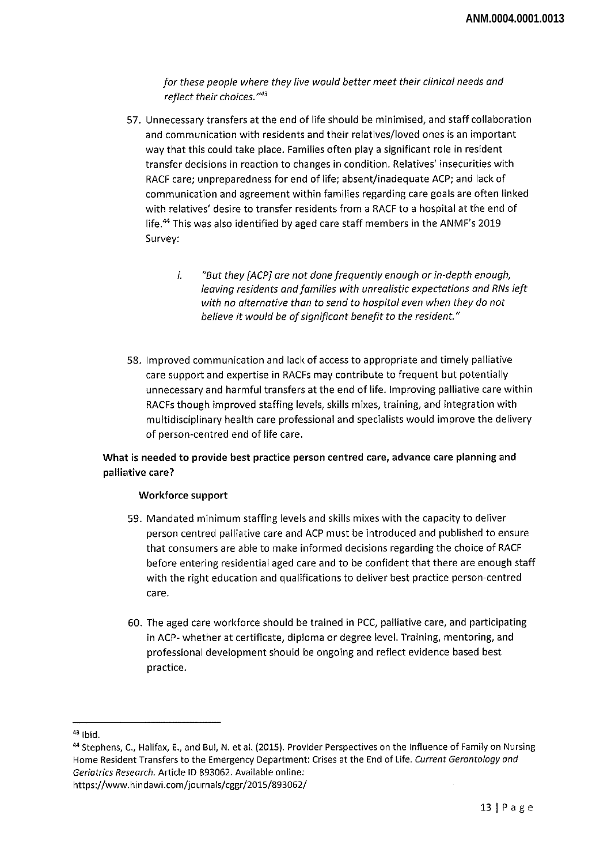*for these people where they live would better meet their clinical needs and reflect their choices."43*

- 57. Unnecessary transfers at the end of life should be minimised, and staff collaboration and communication with residents and their relatives/loved ones is an important way that this could take place. Families often play a significant role in resident transfer decisions in reaction to changes in condition. Relatives' insecurities with RACF care; unpreparedness for end of life; absent/inadequate ACP; and lack of communication and agreement within families regarding care goals are often linked with relatives' desire to transfer residents from a RACF to a hospital at the end of life.44 This was also identified by aged care staff members in the ANMF's 2019 Survey:
	- *i. "But they [ACP] are not done frequently enough or in-depth enough, leaving residents andfamilies with unrealistic expectations and RNs left with no alternative than to send to hospital even when they do not believe it would be ofsignificant benefit to the resident*."
- 58. Improved communication and lack of access to appropriate and timely palliative care support and expertise in RACFs may contribute to frequent but potentially unnecessary and harmful transfers at the end of life. Improving palliative care within RACFs though improved staffing levels, skills mixes, training, and integration with multidisciplinary health care professional and specialists would improve the delivery of person-centred end of life care.

**What is needed to provide best practice person centred care, advance care planning and palliative care?**

#### **Workforce support**

- 59. Mandated minimum staffing levels and skills mixes with the capacity to deliver person centred palliative care and ACP must be introduced and published to ensure that consumers are able to make informed decisions regarding the choice of RACF before entering residential aged care and to be confident that there are enough staff with the right education and qualifications to deliver best practice person-centred care.
- 60. The aged care workforce should be trained in PCC, palliative care, and participating in ACP- whether at certificate, diploma or degree level. Training, mentoring, and professional development should be ongoing and reflect evidence based best practice.

<sup>43</sup> Ibid.

<sup>44</sup> Stephens, C., Halifax, E., and Bui, N. et al. (2015). Provider Perspectives on the Influence of Family on Nursing Home Resident Transfers to the Emergency Department: Crises at the End of Life. *Current Gerontology and Geriatrics Research.* Article ID 893062. Available online: https://www.hindawi.com/journals/cggr/2015/893062/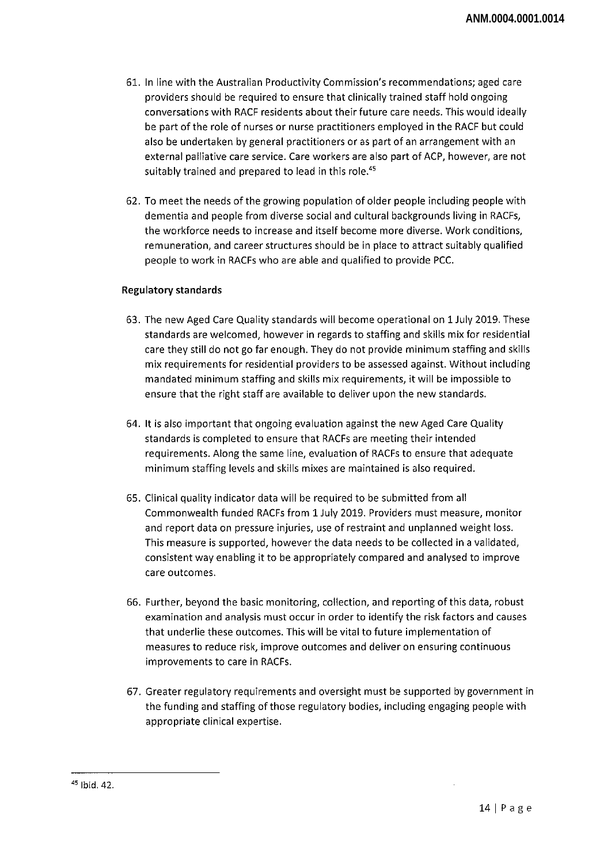- 61. In line with the Australian Productivity Commission's recommendations; aged care providers should be required to ensure that clinically trained staff hold ongoing conversations with RACF residents about their future care needs. This would ideally be part of the role of nurses or nurse practitioners employed in the RACF but could also be undertaken by general practitioners or as part of an arrangement with an external palliative care service. Care workers are also part of ACP, however, are not suitably trained and prepared to lead in this role.<sup>45</sup>
- 62. To meet the needs ofthe growing population of older people including people with dementia and people from diverse social and cultural backgrounds living in RACFs, the workforce needs to increase and itself become more diverse. Work conditions, remuneration, and career structures should be in place to attract suitably qualified people to work in RACFs who are able and qualified to provide PCC.

### **Regulatory standards**

- 63. The new Aged Care Quality standards will become operational on 1 July 2019. These standards are welcomed, however in regards to staffing and skills mix for residential care they still do not go far enough. They do not provide minimum staffing and skills mix requirements for residential providers to be assessed against. Without including mandated minimum staffing and skills mix requirements, it will be impossible to ensure that the right staff are available to deliver upon the new standards.
- 64. It is also important that ongoing evaluation against the new Aged Care Quality standards is completed to ensure that RACFs are meeting their intended requirements. Along the same line, evaluation of RACFs to ensure that adequate minimum staffing levels and skills mixes are maintained is also required.
- 65. Clinical quality indicator data will be required to be submitted from all Commonwealth funded RACFs from 1 July 2019. Providers must measure, monitor and report data on pressure injuries, use of restraint and unplanned weight loss. This measure is supported, however the data needs to be collected in a validated, consistent way enabling it to be appropriately compared and analysed to improve care outcomes.
- 66. Further, beyond the basic monitoring, collection, and reporting ofthis data, robust examination and analysis must occur in order to identify the risk factors and causes that underlie these outcomes. This will be vital to future implementation of measures to reduce risk, improve outcomes and deliver on ensuring continuous improvements to care in RACFs.
- 67. Greater regulatory requirements and oversight must be supported by government in the funding and staffing of those regulatory bodies, including engaging people with appropriate clinical expertise.

<sup>45</sup> Ibid. 42.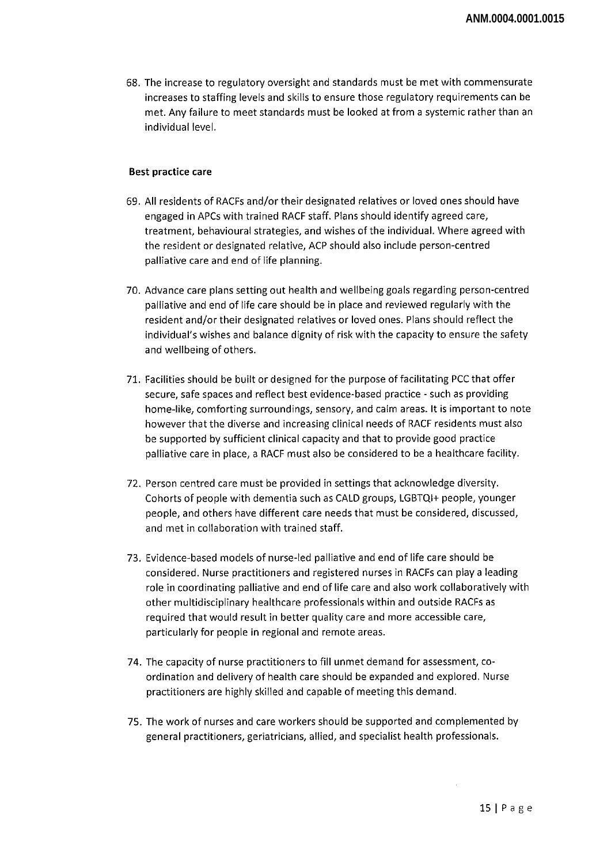68. The increase to regulatory oversight and standards must be met with commensurate increases to staffing levels and skills to ensure those regulatory requirements can be met. Any failure to meet standards must be looked at from a systemic rather than an individual level.

#### Best practice care

- 69. All residents of RACFs and/or their designated relatives or loved ones should have engaged in APCs with trained RACF staff. Plans should identify agreed care, treatment, behavioural strategies, and wishes ofthe individual. Where agreed with the resident or designated relative, ACP should also include person-centred palliative care and end of life planning.
- 70. Advance care plans setting out health and wellbeing goals regarding person-centred palliative and end of life care should be in place and reviewed regularly with the resident and/or their designated relatives or loved ones. Plans should reflect the individual's wishes and balance dignity of risk with the capacity to ensure the safety and wellbeing of others.
- 71. Facilities should be built or designed for the purpose offacilitating PCC that offer secure, safe spaces and reflect best evidence-based practice - such as providing home-like, comforting surroundings, sensory, and calm areas. It is important to note however that the diverse and increasing clinical needs of RACF residents must also be supported by sufficient clinical capacity and that to provide good practice palliative care in place, a RACF must also be considered to be a healthcare facility.
- 72. Person centred care must be provided in settings that acknowledge diversity. Cohorts of people with dementia such as CALD groups, LGBTQI+ people, younger people, and others have different care needs that must be considered, discussed, and met in collaboration with trained staff.
- 73. Evidence-based models of nurse-led palliative and end of life care should be considered. Nurse practitioners and registered nurses in RACFs can play a leading role in coordinating palliative and end of life care and also work collaboratively with other multidisciplinary healthcare professionals within and outside RACFs as required that would result in better quality care and more accessible care, particularly for people in regional and remote areas.
- 74. The capacity of nurse practitioners to fill unmet demand for assessment, coordination and delivery of health care should be expanded and explored. Nurse practitioners are highly skilled and capable of meeting this demand.
- 75. The work of nurses and care workers should be supported and complemented by general practitioners, geriatricians, allied, and specialist health professionals.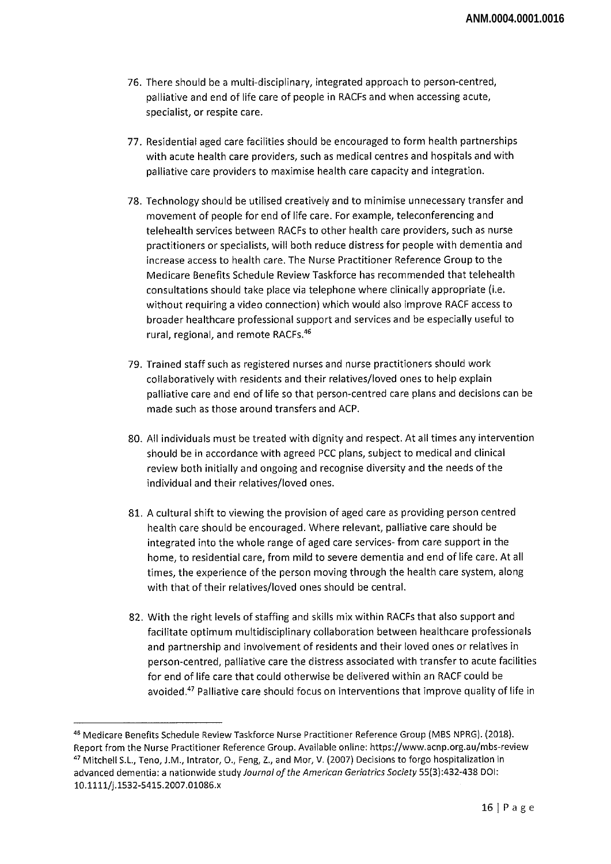- 76. There should be a multi-disciplinary, integrated approach to person-centred, palliative and end of life care of people in RACFs and when accessing acute, specialist, or respite care.
- 77. Residential aged care facilities should be encouraged to form health partnerships with acute health care providers, such as medical centres and hospitals and with palliative care providers to maximise health care capacity and integration.
- 78. Technology should be utilised creatively and to minimise unnecessary transfer and movement of people for end of life care. For example, teleconferencing and telehealth services between RACFs to other health care providers, such as nurse practitioners or specialists, will both reduce distress for people with dementia and increase access to health care. The Nurse Practitioner Reference Group to the Medicare Benefits Schedule Review Taskforce has recommended that telehealth consultations should take place via telephone where clinically appropriate (i.e. without requiring a video connection) which would also improve RACF access to broader healthcare professional support and services and be especially useful to rural, regional, and remote RACFs.<sup>46</sup>
- 79. Trained staff such as registered nurses and nurse practitioners should work collaboratively with residents and their relatives/loved ones to help explain palliative care and end of life so that person-centred care plans and decisions can be made such as those around transfers and ACP.
- 80. All individuals must be treated with dignity and respect. At all times any intervention should be in accordance with agreed PCC plans, subject to medical and clinical review both initially and ongoing and recognise diversity and the needs of the individual and their relatives/loved ones.
- 81. A cultural shift to viewing the provision of aged care as providing person centred health care should be encouraged. Where relevant, palliative care should be integrated into the whole range of aged care services- from care support in the home, to residential care, from mild to severe dementia and end of life care. At all times, the experience of the person moving through the health care system, along with that of their relatives/loved ones should be central.
- 82. With the right levels of staffing and skills mix within RACFs that also support and facilitate optimum multidisciplinary collaboration between healthcare professionals and partnership and involvement of residents and their loved ones or relatives in person-centred, palliative care the distress associated with transfer to acute facilities for end of life care that could otherwise be delivered within an RACF could be avoided.47 Palliative care should focus on interventions that improve quality of life in

<sup>46</sup> Medicare Benefits Schedule Review Taskforce Nurse Practitioner Reference Group (MBS NPRG). (2018). Report from the Nurse Practitioner Reference Group. Available online: https://www.acnp.org.au/mbs-review <sup>47</sup> Mitchell S.L, Teno, J.M., Intrator, 0., Feng, Z., and Mor, V. (2007) Decisions to forgo hospitalization in advanced dementia: a nationwide study Journal of the American Geriatrics Society 55(3):432-438 DOI: 10.1111/j. 1532-5415.2007.01086.x